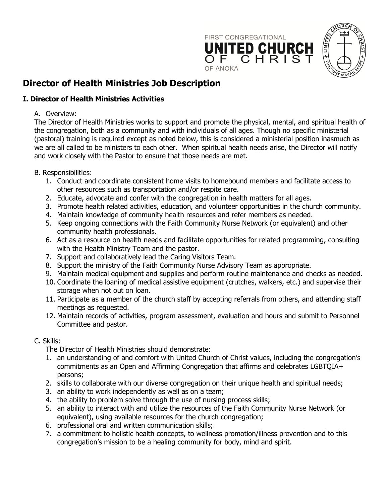

# **Director of Health Ministries Job Description**

## **I. Director of Health Ministries Activities**

#### A. Overview:

The Director of Health Ministries works to support and promote the physical, mental, and spiritual health of the congregation, both as a community and with individuals of all ages. Though no specific ministerial (pastoral) training is required except as noted below, this is considered a ministerial position inasmuch as we are all called to be ministers to each other. When spiritual health needs arise, the Director will notify and work closely with the Pastor to ensure that those needs are met.

#### B. Responsibilities:

- 1. Conduct and coordinate consistent home visits to homebound members and facilitate access to other resources such as transportation and/or respite care.
- 2. Educate, advocate and confer with the congregation in health matters for all ages.
- 3. Promote health related activities, education, and volunteer opportunities in the church community.
- 4. Maintain knowledge of community health resources and refer members as needed.
- 5. Keep ongoing connections with the Faith Community Nurse Network (or equivalent) and other community health professionals.
- 6. Act as a resource on health needs and facilitate opportunities for related programming, consulting with the Health Ministry Team and the pastor.
- 7. Support and collaboratively lead the Caring Visitors Team.
- 8. Support the ministry of the Faith Community Nurse Advisory Team as appropriate.
- 9. Maintain medical equipment and supplies and perform routine maintenance and checks as needed.
- 10. Coordinate the loaning of medical assistive equipment (crutches, walkers, etc.) and supervise their storage when not out on loan.
- 11. Participate as a member of the church staff by accepting referrals from others, and attending staff meetings as requested.
- 12. Maintain records of activities, program assessment, evaluation and hours and submit to Personnel Committee and pastor.

#### C. Skills:

The Director of Health Ministries should demonstrate:

- 1. an understanding of and comfort with United Church of Christ values, including the congregation's commitments as an Open and Affirming Congregation that affirms and celebrates LGBTQIA+ persons;
- 2. skills to collaborate with our diverse congregation on their unique health and spiritual needs;
- 3. an ability to work independently as well as on a team;
- 4. the ability to problem solve through the use of nursing process skills;
- 5. an ability to interact with and utilize the resources of the Faith Community Nurse Network (or equivalent), using available resources for the church congregation;
- 6. professional oral and written communication skills;
- 7. a commitment to holistic health concepts, to wellness promotion/illness prevention and to this congregation's mission to be a healing community for body, mind and spirit.